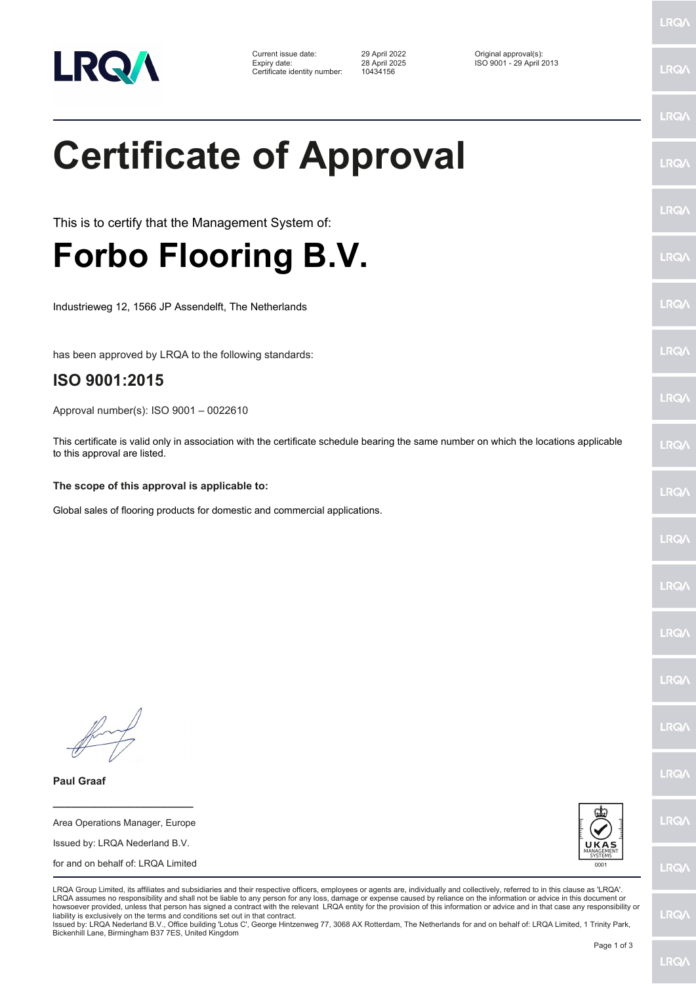

| Current issue date:          | 29 April 2022 | Original approval(s):    |
|------------------------------|---------------|--------------------------|
| Expiry date:                 | 28 April 2025 | ISO 9001 - 29 April 2013 |
| Certificate identity number: | 10434156      |                          |

**Certificate of Approval**

This is to certify that the Management System of:

## **Forbo Flooring B.V.**

Industrieweg 12, 1566 JP Assendelft, The Netherlands

has been approved by LRQA to the following standards:

## **ISO 9001:2015**

Approval number(s): ISO 9001 – 0022610

This certificate is valid only in association with the certificate schedule bearing the same number on which the locations applicable to this approval are listed.

## **The scope of this approval is applicable to:**

Global sales of flooring products for domestic and commercial applications.

**Paul Graaf**

Area Operations Manager, Europe Issued by: LRQA Nederland B.V. for and on behalf of: LRQA Limited

**\_\_\_\_\_\_\_\_\_\_\_\_\_\_\_\_\_\_\_\_\_\_\_\_**



LRQA Group Limited, its affiliates and subsidiaries and their respective officers, employees or agents are, individually and collectively, referred to in this clause as 'LRQA'. LRQA assumes no responsibility and shall not be liable to any person for any loss, damage or expense caused by reliance on the information or advice in this document or howsoever provided, unless that person has signed a contract with the relevant LRQA entity for the provision of this information or advice and in that case any responsibility or liability is exclusively on the terms and conditions set out in that contract.

Issued by: LRQA Nederland B.V., Office building 'Lotus C', George Hintzenweg 77, 3068 AX Rotterdam, The Netherlands for and on behalf of: LRQA Limited, 1 Trinity Park, Bickenhill Lane, Birmingham B37 7ES, United Kingdom

LRQ/

LRQ/

LRQ/

LRQ/

LRQ/

LRQ/

LRQ/

**LRQA** 

LRQ/

LRQ/

LRQ/

LRQ/

**LRQ/** 

LRQ/

**IRQA** 

LRQ/

LRQ/

**LRQ/** 

LRQ/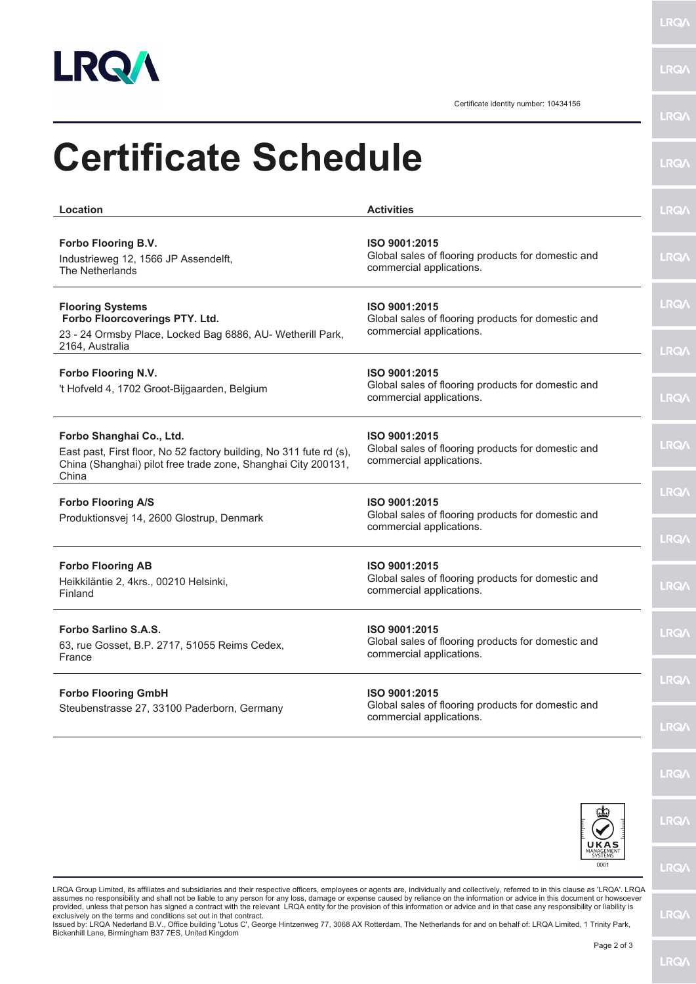

**LRQA** 

**LRQA** 

Certificate identity number: 10434156

| <b>Certificate Schedule</b>                                                                                                                                               |                                                                                                 | <b>LRQA</b>                |
|---------------------------------------------------------------------------------------------------------------------------------------------------------------------------|-------------------------------------------------------------------------------------------------|----------------------------|
| Location                                                                                                                                                                  | <b>Activities</b>                                                                               | <b>LRQA</b>                |
| Forbo Flooring B.V.<br>Industrieweg 12, 1566 JP Assendelft,<br>The Netherlands                                                                                            | ISO 9001:2015<br>Global sales of flooring products for domestic and<br>commercial applications. | <b>LRQA</b>                |
| <b>Flooring Systems</b><br>Forbo Floorcoverings PTY. Ltd.<br>23 - 24 Ormsby Place, Locked Bag 6886, AU- Wetherill Park,<br>2164, Australia                                | ISO 9001:2015<br>Global sales of flooring products for domestic and<br>commercial applications. | <b>LRQA</b>                |
| Forbo Flooring N.V.<br>'t Hofveld 4, 1702 Groot-Bijgaarden, Belgium                                                                                                       | ISO 9001:2015<br>Global sales of flooring products for domestic and<br>commercial applications. | <b>LRQA</b><br><b>LRQA</b> |
| Forbo Shanghai Co., Ltd.<br>East past, First floor, No 52 factory building, No 311 fute rd (s),<br>China (Shanghai) pilot free trade zone, Shanghai City 200131,<br>China | ISO 9001:2015<br>Global sales of flooring products for domestic and<br>commercial applications. | <b>LRQA</b>                |
| <b>Forbo Flooring A/S</b><br>Produktionsvej 14, 2600 Glostrup, Denmark                                                                                                    | ISO 9001:2015<br>Global sales of flooring products for domestic and<br>commercial applications. | <b>LRQA</b><br><b>LRQA</b> |
| <b>Forbo Flooring AB</b><br>Heikkiläntie 2, 4krs., 00210 Helsinki,<br>Finland                                                                                             | ISO 9001:2015<br>Global sales of flooring products for domestic and<br>commercial applications. | <b>LRQA</b>                |
| Forbo Sarlino S.A.S.<br>63, rue Gosset, B.P. 2717, 51055 Reims Cedex,<br>France                                                                                           | ISO 9001:2015<br>Global sales of flooring products for domestic and<br>commercial applications. | <b>LRQA</b>                |
| <b>Forbo Flooring GmbH</b>                                                                                                                                                | ISO 9001:2015<br>Global sales of flooring products for domestic and                             | <b>LRQA</b>                |
| Steubenstrasse 27, 33100 Paderborn, Germany<br>commercial applications.                                                                                                   |                                                                                                 | <b>LRQA</b>                |
|                                                                                                                                                                           |                                                                                                 | <b>LRQA</b>                |
|                                                                                                                                                                           | UKAS                                                                                            | <b>LRQA</b>                |
|                                                                                                                                                                           | 0001                                                                                            | <b>LRQA</b>                |

LRQA Group Limited, its affiliates and subsidiaries and their respective officers, employees or agents are, individually and collectively, referred to in this clause as 'LRQA'. LRQA assumes no responsibility and shall not be liable to any person for any loss, damage or expense caused by reliance on the information or advice in this document or howsoever<br>provided, unless that person has signed a contra

**LRQ/\**